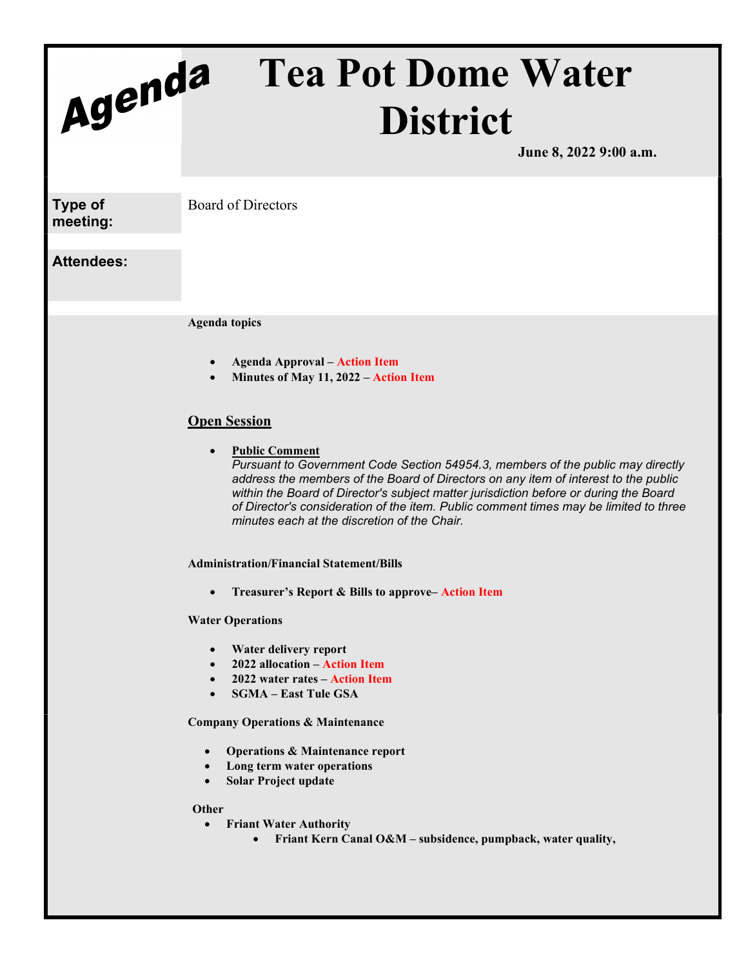# Agenda Tea Pot Dome Water District

June 8, 2022 9:00 a.m.

Type of meeting: Board of Directors

# Attendees:

Agenda topics

- Agenda Approval Action Item
- Minutes of May 11, 2022 Action Item

# **Open Session**

 Public Comment Pursuant to Government Code Section 54954.3, members of the public may directly address the members of the Board of Directors on any item of interest to the public within the Board of Director's subject matter jurisdiction before or during the Board of Director's consideration of the item. Public comment times may be limited to three minutes each at the discretion of the Chair.

Administration/Financial Statement/Bills

Treasurer's Report & Bills to approve– Action Item

## Water Operations

- Water delivery report
- 2022 allocation Action Item
- 2022 water rates Action Item
- SGMA East Tule GSA

Company Operations & Maintenance

- Operations & Maintenance report
- Long term water operations
- Solar Project update

### **Other**

- Friant Water Authority
	- Friant Kern Canal O&M subsidence, pumpback, water quality,